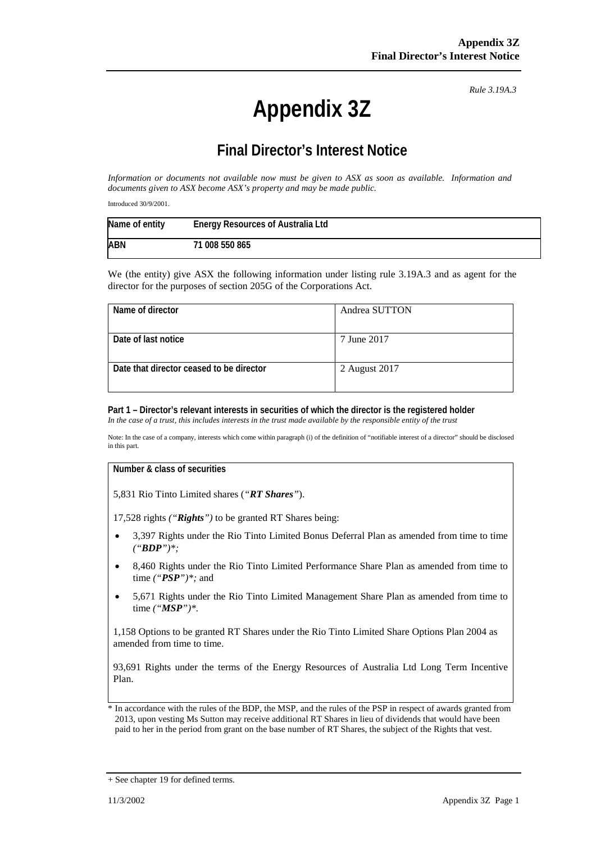# **Appendix 3Z**

*Rule 3.19A.3*

# **Final Director's Interest Notice**

*Information or documents not available now must be given to ASX as soon as available. Information and documents given to ASX become ASX's property and may be made public.*

Introduced 30/9/2001.

| Name of entity | Energy Resources of Australia Ltd |
|----------------|-----------------------------------|
| <b>ABN</b>     | 71 008 550 865                    |

We (the entity) give ASX the following information under listing rule 3.19A.3 and as agent for the director for the purposes of section 205G of the Corporations Act.

| Name of director                         | Andrea SUTTON |
|------------------------------------------|---------------|
|                                          |               |
| Date of last notice                      | 7 June 2017   |
|                                          |               |
| Date that director ceased to be director | 2 August 2017 |
|                                          |               |

## **Part 1 – Director's relevant interests in securities of which the director is the registered holder**

*In the case of a trust, this includes interests in the trust made available by the responsible entity of the trust*

Note: In the case of a company, interests which come within paragraph (i) of the definition of "notifiable interest of a director" should be disclosed in this part.

#### **Number & class of securities**

5,831 Rio Tinto Limited shares (*"RT Shares"*).

17,528 rights *("Rights")* to be granted RT Shares being:

- 3,397 Rights under the Rio Tinto Limited Bonus Deferral Plan as amended from time to time *("BDP")\*;*
- 8,460 Rights under the Rio Tinto Limited Performance Share Plan as amended from time to time *("PSP")\*;* and
- 5,671 Rights under the Rio Tinto Limited Management Share Plan as amended from time to time *("MSP")\*.*

1,158 Options to be granted RT Shares under the Rio Tinto Limited Share Options Plan 2004 as amended from time to time.

93,691 Rights under the terms of the Energy Resources of Australia Ltd Long Term Incentive Plan.

In accordance with the rules of the BDP, the MSP, and the rules of the PSP in respect of awards granted from 2013, upon vesting Ms Sutton may receive additional RT Shares in lieu of dividends that would have been paid to her in the period from grant on the base number of RT Shares, the subject of the Rights that vest.

<sup>+</sup> See chapter 19 for defined terms.